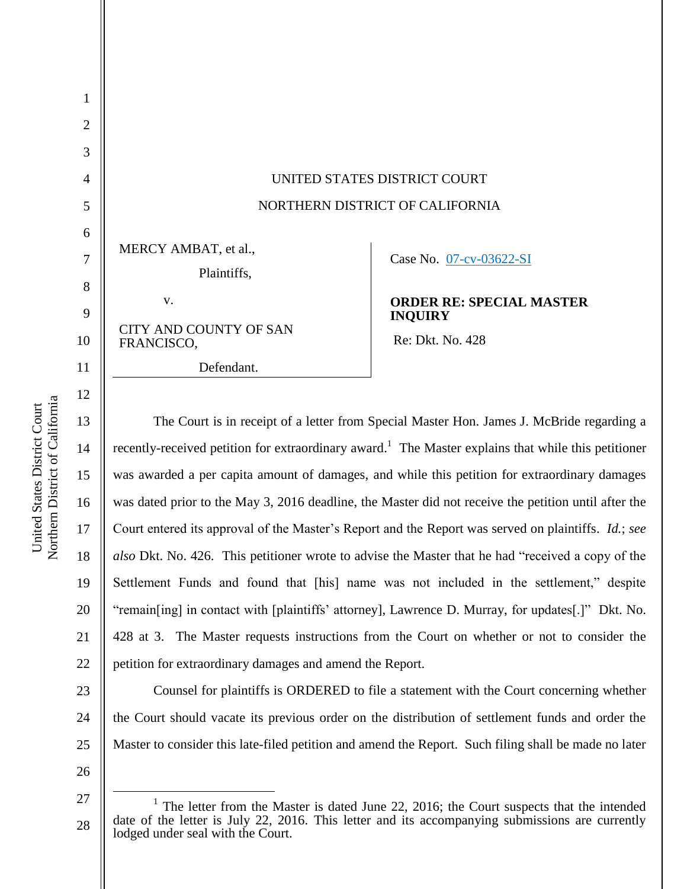| 3              |                                             |                                                   |
|----------------|---------------------------------------------|---------------------------------------------------|
| $\overline{A}$ | UNITED STATES DISTRICT COURT                |                                                   |
|                | NORTHERN DISTRICT OF CALIFORNIA             |                                                   |
| 6              |                                             |                                                   |
| 7              | MERCY AMBAT, et al.,<br>Plaintiffs,         | Case No. 07-cv-03622-SI                           |
| 8              | $V_{\star}$                                 |                                                   |
| 9              |                                             | <b>ORDER RE: SPECIAL MASTER</b><br><b>INQUIRY</b> |
| 10             | <b>CITY AND COUNTY OF SAN</b><br>FRANCISCO, | Re: Dkt. No. 428                                  |
| 11             | Defendant.                                  |                                                   |
|                |                                             |                                                   |

22 The Court is in receipt of a letter from Special Master Hon. James J. McBride regarding a recently-received petition for extraordinary award.<sup>1</sup> The Master explains that while this petitioner was awarded a per capita amount of damages, and while this petition for extraordinary damages was dated prior to the May 3, 2016 deadline, the Master did not receive the petition until after the Court entered its approval of the Master's Report and the Report was served on plaintiffs. *Id.*; *see also* Dkt. No. 426. This petitioner wrote to advise the Master that he had "received a copy of the Settlement Funds and found that [his] name was not included in the settlement," despite "remain[ing] in contact with [plaintiffs' attorney], Lawrence D. Murray, for updates[.]" Dkt. No. 428 at 3. The Master requests instructions from the Court on whether or not to consider the petition for extraordinary damages and amend the Report.

23 24 25 Counsel for plaintiffs is ORDERED to file a statement with the Court concerning whether the Court should vacate its previous order on the distribution of settlement funds and order the Master to consider this late-filed petition and amend the Report. Such filing shall be made no later

26

 $\overline{a}$ 

Northern District of California Northern District of California United States District Court United States District Court

1

2

11

12

13

14

15

16

17

18

19

20

21

<sup>27</sup> 28 <sup>1</sup> The letter from the Master is dated June 22, 2016; the Court suspects that the intended date of the letter is July 22, 2016. This letter and its accompanying submissions are currently lodged under seal with the Court.